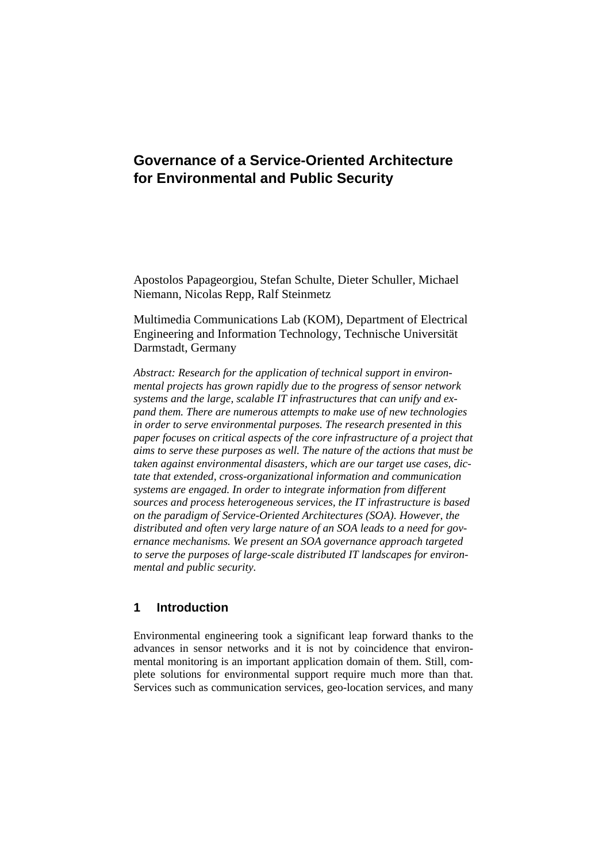# **Governance of a Service-Oriented Architecture for Environmental and Public Security**

Apostolos Papageorgiou, Stefan Schulte, Dieter Schuller, Michael Niemann, Nicolas Repp, Ralf Steinmetz

Multimedia Communications Lab (KOM), Department of Electrical Engineering and Information Technology, Technische Universität Darmstadt, Germany

*Abstract: Research for the application of technical support in environmental projects has grown rapidly due to the progress of sensor network systems and the large, scalable IT infrastructures that can unify and expand them. There are numerous attempts to make use of new technologies in order to serve environmental purposes. The research presented in this paper focuses on critical aspects of the core infrastructure of a project that aims to serve these purposes as well. The nature of the actions that must be taken against environmental disasters, which are our target use cases, dictate that extended, cross-organizational information and communication systems are engaged. In order to integrate information from different sources and process heterogeneous services, the IT infrastructure is based on the paradigm of Service-Oriented Architectures (SOA). However, the distributed and often very large nature of an SOA leads to a need for governance mechanisms. We present an SOA governance approach targeted to serve the purposes of large-scale distributed IT landscapes for environmental and public security.* 

# **1 Introduction**

Environmental engineering took a significant leap forward thanks to the advances in sensor networks and it is not by coincidence that environmental monitoring is an important application domain of them. Still, complete solutions for environmental support require much more than that. Services such as communication services, geo-location services, and many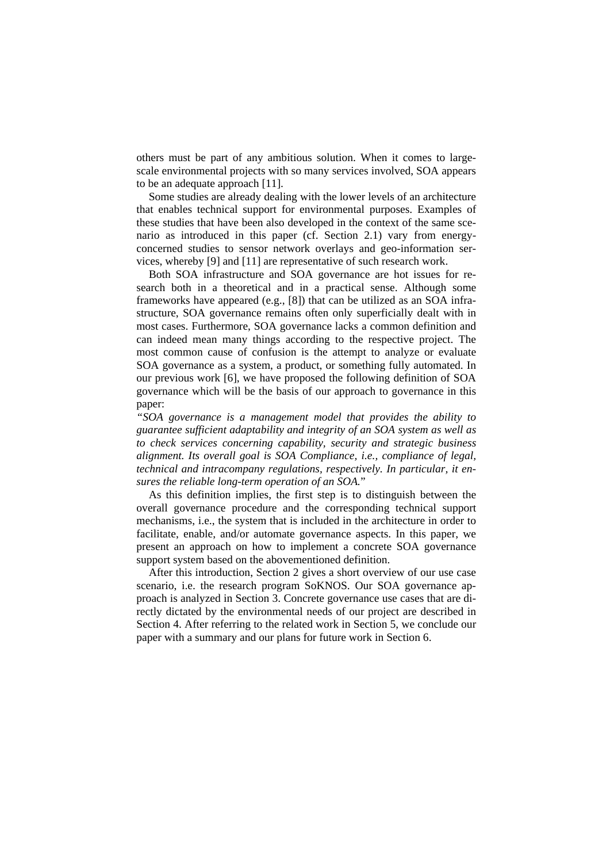others must be part of any ambitious solution. When it comes to largescale environmental projects with so many services involved, SOA appears to be an adequate approach [11].

Some studies are already dealing with the lower levels of an architecture that enables technical support for environmental purposes. Examples of these studies that have been also developed in the context of the same scenario as introduced in this paper (cf. Section 2.1) vary from energyconcerned studies to sensor network overlays and geo-information services, whereby [9] and [11] are representative of such research work.

Both SOA infrastructure and SOA governance are hot issues for research both in a theoretical and in a practical sense. Although some frameworks have appeared (e.g., [8]) that can be utilized as an SOA infrastructure, SOA governance remains often only superficially dealt with in most cases. Furthermore, SOA governance lacks a common definition and can indeed mean many things according to the respective project. The most common cause of confusion is the attempt to analyze or evaluate SOA governance as a system, a product, or something fully automated. In our previous work [6], we have proposed the following definition of SOA governance which will be the basis of our approach to governance in this paper:

*"SOA governance is a management model that provides the ability to guarantee sufficient adaptability and integrity of an SOA system as well as to check services concerning capability, security and strategic business alignment. Its overall goal is SOA Compliance, i.e., compliance of legal, technical and intracompany regulations, respectively. In particular, it ensures the reliable long-term operation of an SOA.*"

As this definition implies, the first step is to distinguish between the overall governance procedure and the corresponding technical support mechanisms, i.e., the system that is included in the architecture in order to facilitate, enable, and/or automate governance aspects. In this paper, we present an approach on how to implement a concrete SOA governance support system based on the abovementioned definition.

After this introduction, Section 2 gives a short overview of our use case scenario, i.e. the research program SoKNOS. Our SOA governance approach is analyzed in Section 3. Concrete governance use cases that are directly dictated by the environmental needs of our project are described in Section 4. After referring to the related work in Section 5, we conclude our paper with a summary and our plans for future work in Section 6.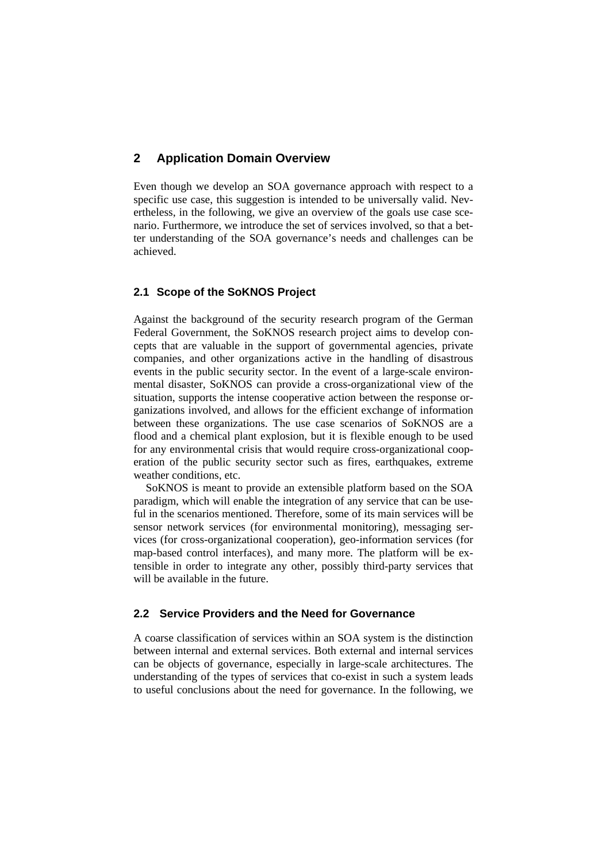# **2 Application Domain Overview**

Even though we develop an SOA governance approach with respect to a specific use case, this suggestion is intended to be universally valid. Nevertheless, in the following, we give an overview of the goals use case scenario. Furthermore, we introduce the set of services involved, so that a better understanding of the SOA governance's needs and challenges can be achieved.

# **2.1 Scope of the SoKNOS Project**

Against the background of the security research program of the German Federal Government, the SoKNOS research project aims to develop concepts that are valuable in the support of governmental agencies, private companies, and other organizations active in the handling of disastrous events in the public security sector. In the event of a large-scale environmental disaster, SoKNOS can provide a cross-organizational view of the situation, supports the intense cooperative action between the response organizations involved, and allows for the efficient exchange of information between these organizations. The use case scenarios of SoKNOS are a flood and a chemical plant explosion, but it is flexible enough to be used for any environmental crisis that would require cross-organizational cooperation of the public security sector such as fires, earthquakes, extreme weather conditions, etc.

SoKNOS is meant to provide an extensible platform based on the SOA paradigm, which will enable the integration of any service that can be useful in the scenarios mentioned. Therefore, some of its main services will be sensor network services (for environmental monitoring), messaging services (for cross-organizational cooperation), geo-information services (for map-based control interfaces), and many more. The platform will be extensible in order to integrate any other, possibly third-party services that will be available in the future.

# **2.2 Service Providers and the Need for Governance**

A coarse classification of services within an SOA system is the distinction between internal and external services. Both external and internal services can be objects of governance, especially in large-scale architectures. The understanding of the types of services that co-exist in such a system leads to useful conclusions about the need for governance. In the following, we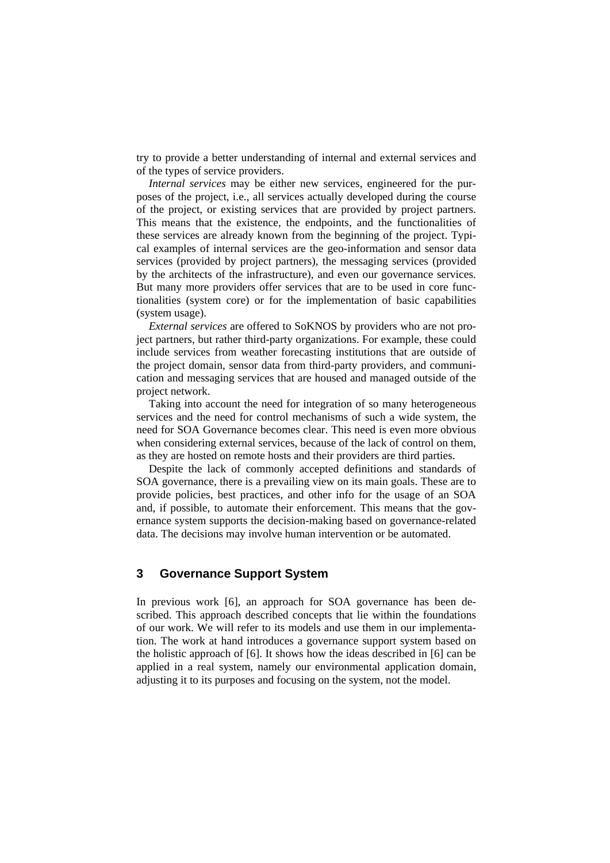try to provide a better understanding of internal and external services and of the types of service providers.

*Internal services* may be either new services, engineered for the purposes of the project, i.e., all services actually developed during the course of the project, or existing services that are provided by project partners. This means that the existence, the endpoints, and the functionalities of these services are already known from the beginning of the project. Typical examples of internal services are the geo-information and sensor data services (provided by project partners), the messaging services (provided by the architects of the infrastructure), and even our governance services. But many more providers offer services that are to be used in core functionalities (system core) or for the implementation of basic capabilities (system usage).

*External services* are offered to SoKNOS by providers who are not project partners, but rather third-party organizations. For example, these could include services from weather forecasting institutions that are outside of the project domain, sensor data from third-party providers, and communication and messaging services that are housed and managed outside of the project network.

Taking into account the need for integration of so many heterogeneous services and the need for control mechanisms of such a wide system, the need for SOA Governance becomes clear. This need is even more obvious when considering external services, because of the lack of control on them, as they are hosted on remote hosts and their providers are third parties.

Despite the lack of commonly accepted definitions and standards of SOA governance, there is a prevailing view on its main goals. These are to provide policies, best practices, and other info for the usage of an SOA and, if possible, to automate their enforcement. This means that the governance system supports the decision-making based on governance-related data. The decisions may involve human intervention or be automated.

# **3 Governance Support System**

In previous work [6], an approach for SOA governance has been described. This approach described concepts that lie within the foundations of our work. We will refer to its models and use them in our implementation. The work at hand introduces a governance support system based on the holistic approach of [6]. It shows how the ideas described in [6] can be applied in a real system, namely our environmental application domain, adjusting it to its purposes and focusing on the system, not the model.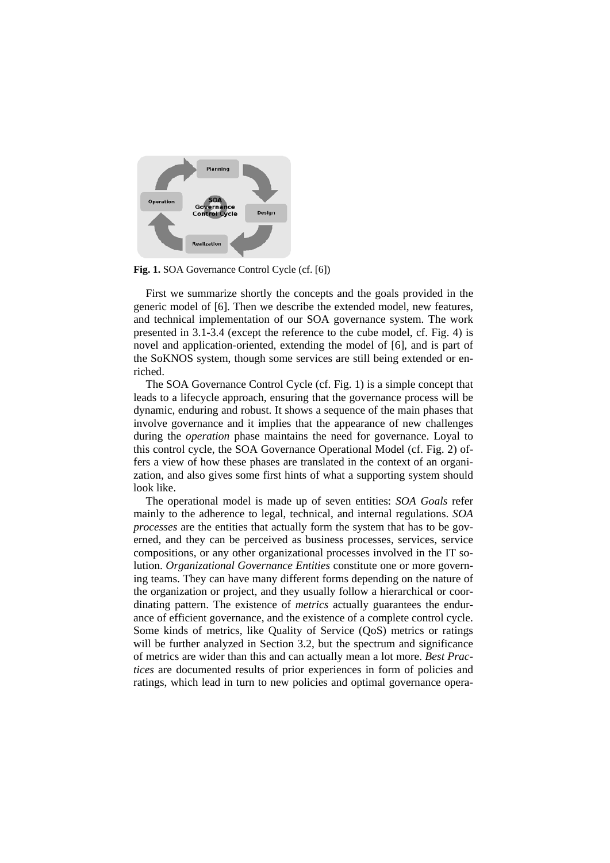

**Fig. 1.** SOA Governance Control Cycle (cf. [6])

First we summarize shortly the concepts and the goals provided in the generic model of [6]. Then we describe the extended model, new features, and technical implementation of our SOA governance system. The work presented in 3.1-3.4 (except the reference to the cube model, cf. Fig. 4) is novel and application-oriented, extending the model of [6], and is part of the SoKNOS system, though some services are still being extended or enriched.

The SOA Governance Control Cycle (cf. Fig. 1) is a simple concept that leads to a lifecycle approach, ensuring that the governance process will be dynamic, enduring and robust. It shows a sequence of the main phases that involve governance and it implies that the appearance of new challenges during the *operation* phase maintains the need for governance. Loyal to this control cycle, the SOA Governance Operational Model (cf. Fig. 2) offers a view of how these phases are translated in the context of an organization, and also gives some first hints of what a supporting system should look like.

The operational model is made up of seven entities: *SOA Goals* refer mainly to the adherence to legal, technical, and internal regulations. *SOA processes* are the entities that actually form the system that has to be governed, and they can be perceived as business processes, services, service compositions, or any other organizational processes involved in the IT solution. *Organizational Governance Entities* constitute one or more governing teams. They can have many different forms depending on the nature of the organization or project, and they usually follow a hierarchical or coordinating pattern. The existence of *metrics* actually guarantees the endurance of efficient governance, and the existence of a complete control cycle. Some kinds of metrics, like Quality of Service (QoS) metrics or ratings will be further analyzed in Section 3.2, but the spectrum and significance of metrics are wider than this and can actually mean a lot more. *Best Practices* are documented results of prior experiences in form of policies and ratings, which lead in turn to new policies and optimal governance opera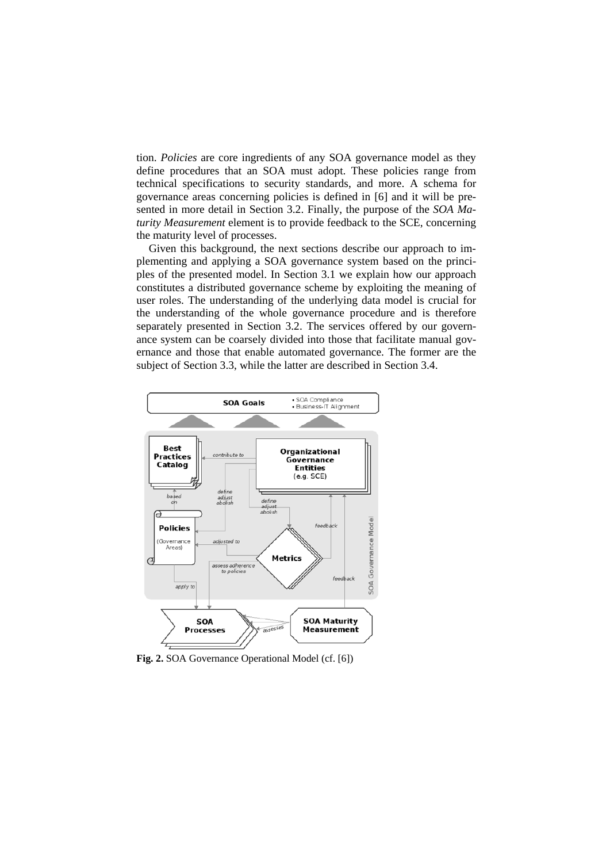tion. *Policies* are core ingredients of any SOA governance model as they define procedures that an SOA must adopt. These policies range from technical specifications to security standards, and more. A schema for governance areas concerning policies is defined in [6] and it will be presented in more detail in Section 3.2. Finally, the purpose of the *SOA Maturity Measurement* element is to provide feedback to the SCE, concerning the maturity level of processes.

Given this background, the next sections describe our approach to implementing and applying a SOA governance system based on the principles of the presented model. In Section 3.1 we explain how our approach constitutes a distributed governance scheme by exploiting the meaning of user roles. The understanding of the underlying data model is crucial for the understanding of the whole governance procedure and is therefore separately presented in Section 3.2. The services offered by our governance system can be coarsely divided into those that facilitate manual governance and those that enable automated governance. The former are the subject of Section 3.3, while the latter are described in Section 3.4.



**Fig. 2.** SOA Governance Operational Model (cf. [6])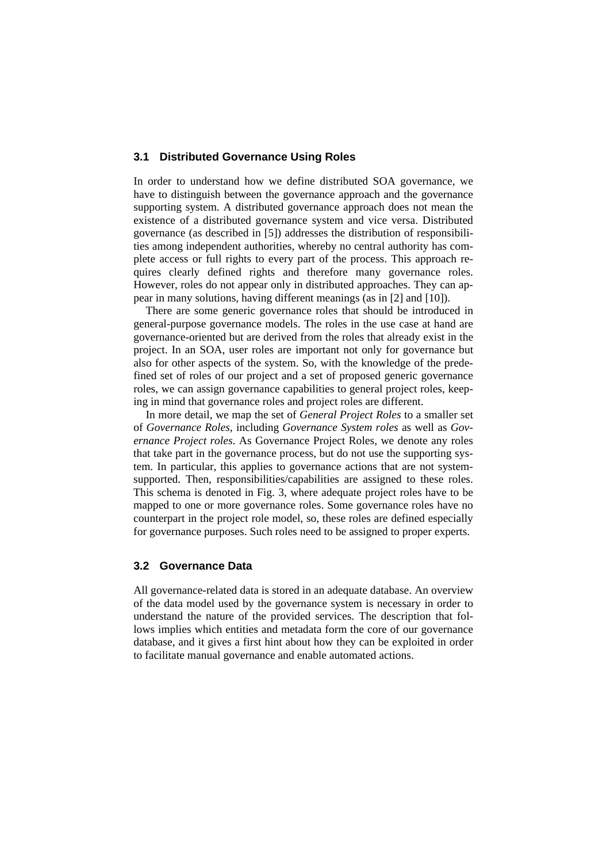# **3.1 Distributed Governance Using Roles**

In order to understand how we define distributed SOA governance, we have to distinguish between the governance approach and the governance supporting system. A distributed governance approach does not mean the existence of a distributed governance system and vice versa. Distributed governance (as described in [5]) addresses the distribution of responsibilities among independent authorities, whereby no central authority has complete access or full rights to every part of the process. This approach requires clearly defined rights and therefore many governance roles. However, roles do not appear only in distributed approaches. They can appear in many solutions, having different meanings (as in [2] and [10]).

There are some generic governance roles that should be introduced in general-purpose governance models. The roles in the use case at hand are governance-oriented but are derived from the roles that already exist in the project. In an SOA, user roles are important not only for governance but also for other aspects of the system. So, with the knowledge of the predefined set of roles of our project and a set of proposed generic governance roles, we can assign governance capabilities to general project roles, keeping in mind that governance roles and project roles are different.

In more detail, we map the set of *General Project Roles* to a smaller set of *Governance Roles*, including *Governance System roles* as well as *Governance Project roles*. As Governance Project Roles, we denote any roles that take part in the governance process, but do not use the supporting system. In particular, this applies to governance actions that are not systemsupported. Then, responsibilities/capabilities are assigned to these roles. This schema is denoted in Fig. 3, where adequate project roles have to be mapped to one or more governance roles. Some governance roles have no counterpart in the project role model, so, these roles are defined especially for governance purposes. Such roles need to be assigned to proper experts.

# **3.2 Governance Data**

All governance-related data is stored in an adequate database. An overview of the data model used by the governance system is necessary in order to understand the nature of the provided services. The description that follows implies which entities and metadata form the core of our governance database, and it gives a first hint about how they can be exploited in order to facilitate manual governance and enable automated actions.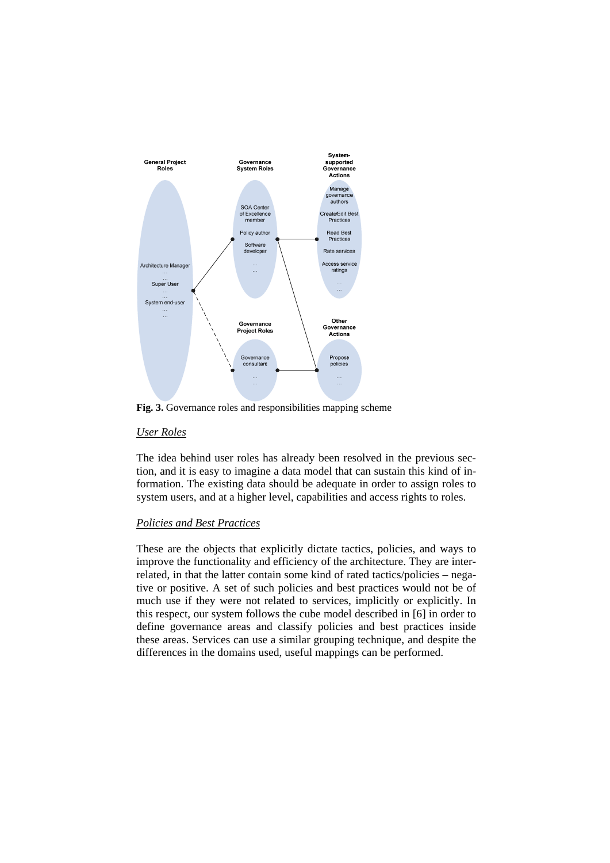

**Fig. 3.** Governance roles and responsibilities mapping scheme

#### *User Roles*

The idea behind user roles has already been resolved in the previous section, and it is easy to imagine a data model that can sustain this kind of information. The existing data should be adequate in order to assign roles to system users, and at a higher level, capabilities and access rights to roles.

#### *Policies and Best Practices*

These are the objects that explicitly dictate tactics, policies, and ways to improve the functionality and efficiency of the architecture. They are interrelated, in that the latter contain some kind of rated tactics/policies – negative or positive. A set of such policies and best practices would not be of much use if they were not related to services, implicitly or explicitly. In this respect, our system follows the cube model described in [6] in order to define governance areas and classify policies and best practices inside these areas. Services can use a similar grouping technique, and despite the differences in the domains used, useful mappings can be performed.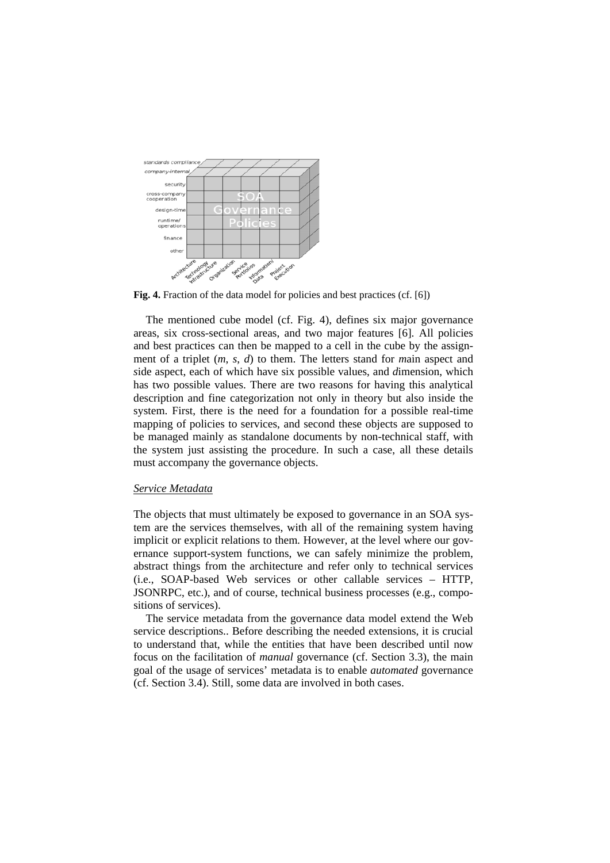

**Fig. 4.** Fraction of the data model for policies and best practices (cf. [6])

The mentioned cube model (cf. Fig. 4), defines six major governance areas, six cross-sectional areas, and two major features [6]. All policies and best practices can then be mapped to a cell in the cube by the assignment of a triplet (*m*, *s*, *d*) to them. The letters stand for *m*ain aspect and *s*ide aspect, each of which have six possible values, and *d*imension, which has two possible values. There are two reasons for having this analytical description and fine categorization not only in theory but also inside the system. First, there is the need for a foundation for a possible real-time mapping of policies to services, and second these objects are supposed to be managed mainly as standalone documents by non-technical staff, with the system just assisting the procedure. In such a case, all these details must accompany the governance objects.

#### *Service Metadata*

The objects that must ultimately be exposed to governance in an SOA system are the services themselves, with all of the remaining system having implicit or explicit relations to them. However, at the level where our governance support-system functions, we can safely minimize the problem, abstract things from the architecture and refer only to technical services (i.e., SOAP-based Web services or other callable services – HTTP, JSONRPC, etc.), and of course, technical business processes (e.g., compositions of services).

The service metadata from the governance data model extend the Web service descriptions.. Before describing the needed extensions, it is crucial to understand that, while the entities that have been described until now focus on the facilitation of *manual* governance (cf. Section 3.3), the main goal of the usage of services' metadata is to enable *automated* governance (cf. Section 3.4). Still, some data are involved in both cases.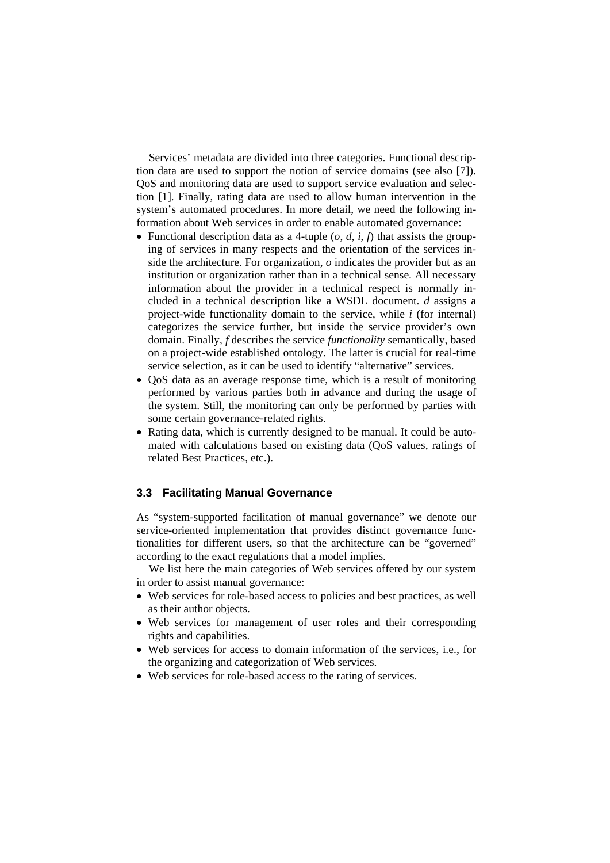Services' metadata are divided into three categories. Functional description data are used to support the notion of service domains (see also [7]). QoS and monitoring data are used to support service evaluation and selection [1]. Finally, rating data are used to allow human intervention in the system's automated procedures. In more detail, we need the following information about Web services in order to enable automated governance:

- Functional description data as a 4-tuple  $(o, d, i, f)$  that assists the grouping of services in many respects and the orientation of the services inside the architecture. For organization, *o* indicates the provider but as an institution or organization rather than in a technical sense. All necessary information about the provider in a technical respect is normally included in a technical description like a WSDL document. *d* assigns a project-wide functionality domain to the service, while *i* (for internal) categorizes the service further, but inside the service provider's own domain. Finally, *f* describes the service *functionality* semantically, based on a project-wide established ontology. The latter is crucial for real-time service selection, as it can be used to identify "alternative" services.
- QoS data as an average response time, which is a result of monitoring performed by various parties both in advance and during the usage of the system. Still, the monitoring can only be performed by parties with some certain governance-related rights.
- Rating data, which is currently designed to be manual. It could be automated with calculations based on existing data (QoS values, ratings of related Best Practices, etc.).

# **3.3 Facilitating Manual Governance**

As "system-supported facilitation of manual governance" we denote our service-oriented implementation that provides distinct governance functionalities for different users, so that the architecture can be "governed" according to the exact regulations that a model implies.

We list here the main categories of Web services offered by our system in order to assist manual governance:

- Web services for role-based access to policies and best practices, as well as their author objects.
- Web services for management of user roles and their corresponding rights and capabilities.
- Web services for access to domain information of the services, i.e., for the organizing and categorization of Web services.
- Web services for role-based access to the rating of services.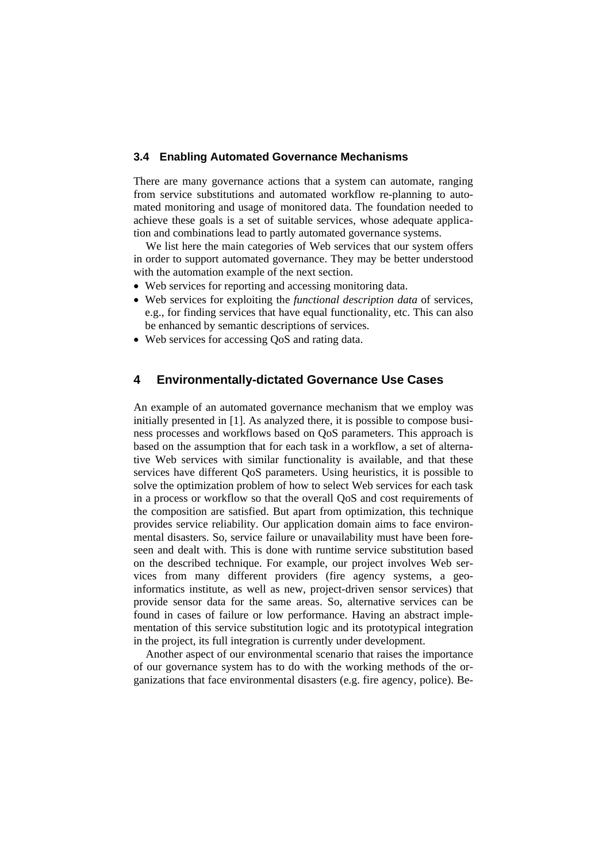# **3.4 Enabling Automated Governance Mechanisms**

There are many governance actions that a system can automate, ranging from service substitutions and automated workflow re-planning to automated monitoring and usage of monitored data. The foundation needed to achieve these goals is a set of suitable services, whose adequate application and combinations lead to partly automated governance systems.

We list here the main categories of Web services that our system offers in order to support automated governance. They may be better understood with the automation example of the next section.

- Web services for reporting and accessing monitoring data.
- Web services for exploiting the *functional description data* of services, e.g., for finding services that have equal functionality, etc. This can also be enhanced by semantic descriptions of services.
- Web services for accessing OoS and rating data.

# **4 Environmentally-dictated Governance Use Cases**

An example of an automated governance mechanism that we employ was initially presented in [1]. As analyzed there, it is possible to compose business processes and workflows based on QoS parameters. This approach is based on the assumption that for each task in a workflow, a set of alternative Web services with similar functionality is available, and that these services have different QoS parameters. Using heuristics, it is possible to solve the optimization problem of how to select Web services for each task in a process or workflow so that the overall QoS and cost requirements of the composition are satisfied. But apart from optimization, this technique provides service reliability. Our application domain aims to face environmental disasters. So, service failure or unavailability must have been foreseen and dealt with. This is done with runtime service substitution based on the described technique. For example, our project involves Web services from many different providers (fire agency systems, a geoinformatics institute, as well as new, project-driven sensor services) that provide sensor data for the same areas. So, alternative services can be found in cases of failure or low performance. Having an abstract implementation of this service substitution logic and its prototypical integration in the project, its full integration is currently under development.

Another aspect of our environmental scenario that raises the importance of our governance system has to do with the working methods of the organizations that face environmental disasters (e.g. fire agency, police). Be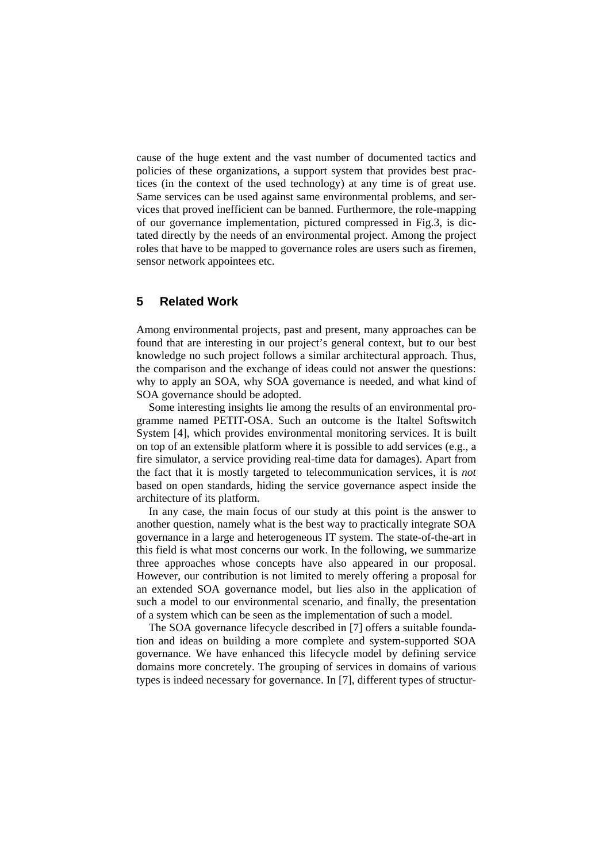cause of the huge extent and the vast number of documented tactics and policies of these organizations, a support system that provides best practices (in the context of the used technology) at any time is of great use. Same services can be used against same environmental problems, and services that proved inefficient can be banned. Furthermore, the role-mapping of our governance implementation, pictured compressed in Fig.3, is dictated directly by the needs of an environmental project. Among the project roles that have to be mapped to governance roles are users such as firemen, sensor network appointees etc.

# **5 Related Work**

Among environmental projects, past and present, many approaches can be found that are interesting in our project's general context, but to our best knowledge no such project follows a similar architectural approach. Thus, the comparison and the exchange of ideas could not answer the questions: why to apply an SOA, why SOA governance is needed, and what kind of SOA governance should be adopted.

Some interesting insights lie among the results of an environmental programme named PETIT-OSA. Such an outcome is the Italtel Softswitch System [4], which provides environmental monitoring services. It is built on top of an extensible platform where it is possible to add services (e.g., a fire simulator, a service providing real-time data for damages). Apart from the fact that it is mostly targeted to telecommunication services, it is *not* based on open standards, hiding the service governance aspect inside the architecture of its platform.

In any case, the main focus of our study at this point is the answer to another question, namely what is the best way to practically integrate SOA governance in a large and heterogeneous IT system. The state-of-the-art in this field is what most concerns our work. In the following, we summarize three approaches whose concepts have also appeared in our proposal. However, our contribution is not limited to merely offering a proposal for an extended SOA governance model, but lies also in the application of such a model to our environmental scenario, and finally, the presentation of a system which can be seen as the implementation of such a model.

The SOA governance lifecycle described in [7] offers a suitable foundation and ideas on building a more complete and system-supported SOA governance. We have enhanced this lifecycle model by defining service domains more concretely. The grouping of services in domains of various types is indeed necessary for governance. In [7], different types of structur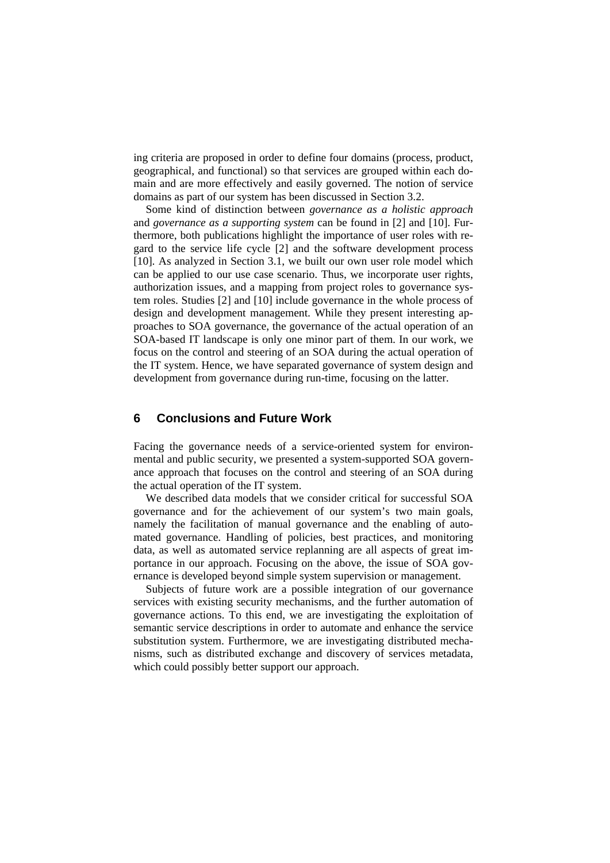ing criteria are proposed in order to define four domains (process, product, geographical, and functional) so that services are grouped within each domain and are more effectively and easily governed. The notion of service domains as part of our system has been discussed in Section 3.2.

Some kind of distinction between *governance as a holistic approach* and *governance as a supporting system* can be found in [2] and [10]. Furthermore, both publications highlight the importance of user roles with regard to the service life cycle [2] and the software development process [10]. As analyzed in Section 3.1, we built our own user role model which can be applied to our use case scenario. Thus, we incorporate user rights, authorization issues, and a mapping from project roles to governance system roles. Studies [2] and [10] include governance in the whole process of design and development management. While they present interesting approaches to SOA governance, the governance of the actual operation of an SOA-based IT landscape is only one minor part of them. In our work, we focus on the control and steering of an SOA during the actual operation of the IT system. Hence, we have separated governance of system design and development from governance during run-time, focusing on the latter.

# **6 Conclusions and Future Work**

Facing the governance needs of a service-oriented system for environmental and public security, we presented a system-supported SOA governance approach that focuses on the control and steering of an SOA during the actual operation of the IT system.

We described data models that we consider critical for successful SOA governance and for the achievement of our system's two main goals, namely the facilitation of manual governance and the enabling of automated governance. Handling of policies, best practices, and monitoring data, as well as automated service replanning are all aspects of great importance in our approach. Focusing on the above, the issue of SOA governance is developed beyond simple system supervision or management.

Subjects of future work are a possible integration of our governance services with existing security mechanisms, and the further automation of governance actions. To this end, we are investigating the exploitation of semantic service descriptions in order to automate and enhance the service substitution system. Furthermore, we are investigating distributed mechanisms, such as distributed exchange and discovery of services metadata, which could possibly better support our approach.